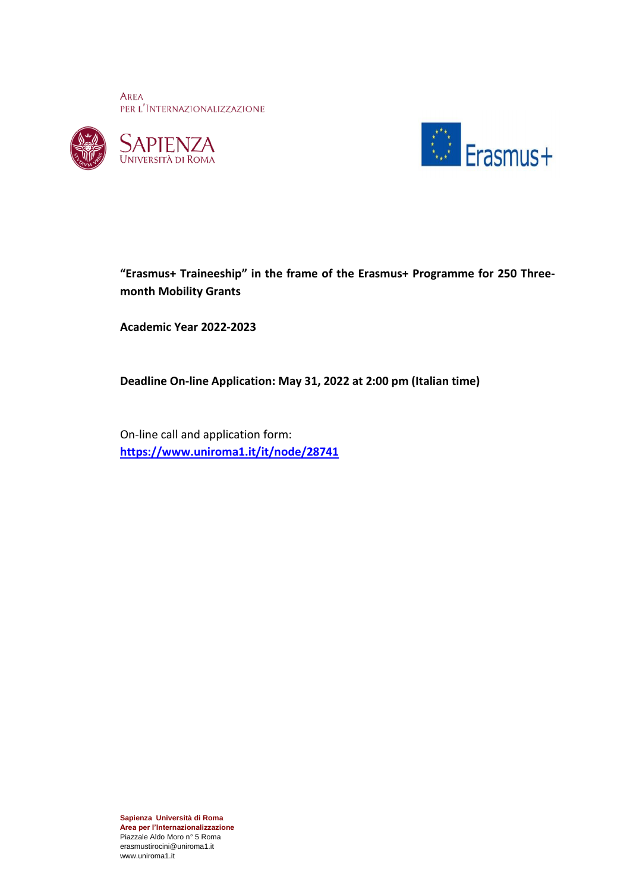AREA PER L'INTERNAZIONALIZZAZIONE







# **"Erasmus+ Traineeship" in the frame of the Erasmus+ Programme for 250 Threemonth Mobility Grants**

**Academic Year 2022-2023**

**Deadline On-line Application: May 31, 2022 at 2:00 pm (Italian time)**

On-line call and application form: **<https://www.uniroma1.it/it/node/28741>**

**Sapienza Università di Roma Area per l'Internazionalizzazione** Piazzale Aldo Moro n° 5 Roma erasmustirocini@uniroma1.it www.uniroma1.it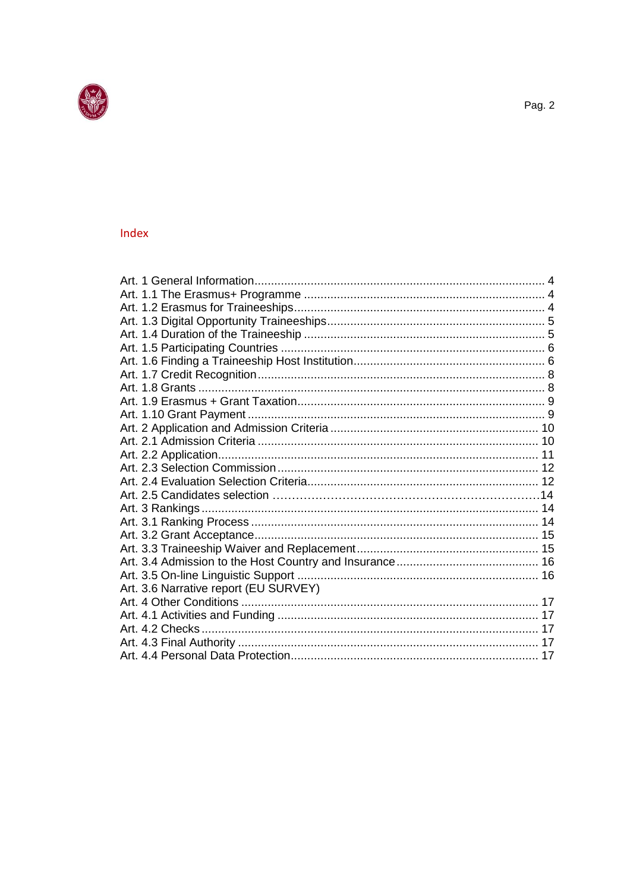

# Index

| Art. 3.6 Narrative report (EU SURVEY) |  |
|---------------------------------------|--|
|                                       |  |
|                                       |  |
|                                       |  |
|                                       |  |
|                                       |  |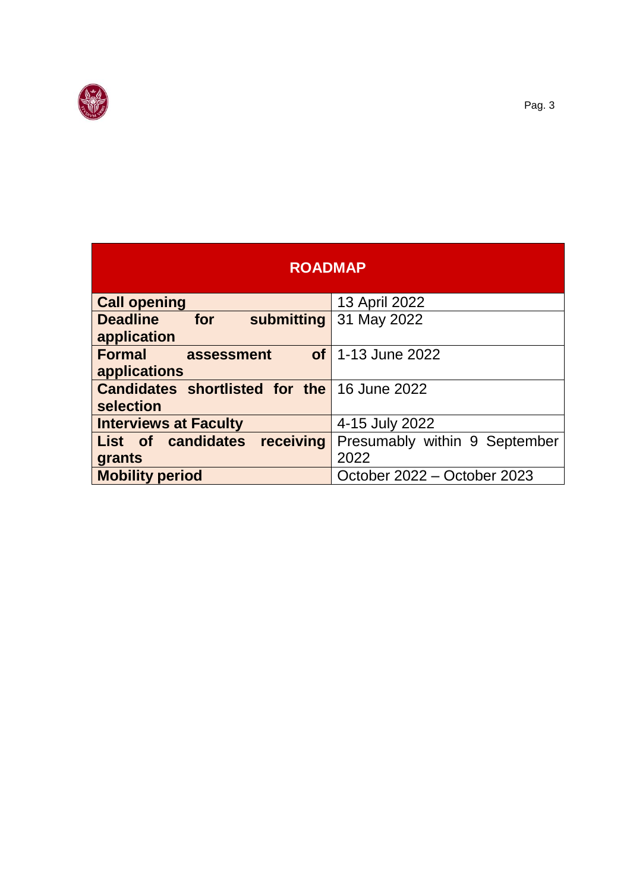

I

| <b>ROADMAP</b>                                     |                               |  |
|----------------------------------------------------|-------------------------------|--|
| <b>Call opening</b>                                | 13 April 2022                 |  |
| for<br><b>Deadline</b><br>submitting               | 31 May 2022                   |  |
| application                                        |                               |  |
| <b>Formal</b><br>assessment                        | <b>of</b> 1-13 June 2022      |  |
| applications                                       |                               |  |
| <b>Candidates shortlisted for the 16 June 2022</b> |                               |  |
| selection                                          |                               |  |
| <b>Interviews at Faculty</b>                       | 4-15 July 2022                |  |
| receiving<br>List of candidates                    | Presumably within 9 September |  |
| grants                                             | 2022                          |  |
| <b>Mobility period</b>                             | October 2022 - October 2023   |  |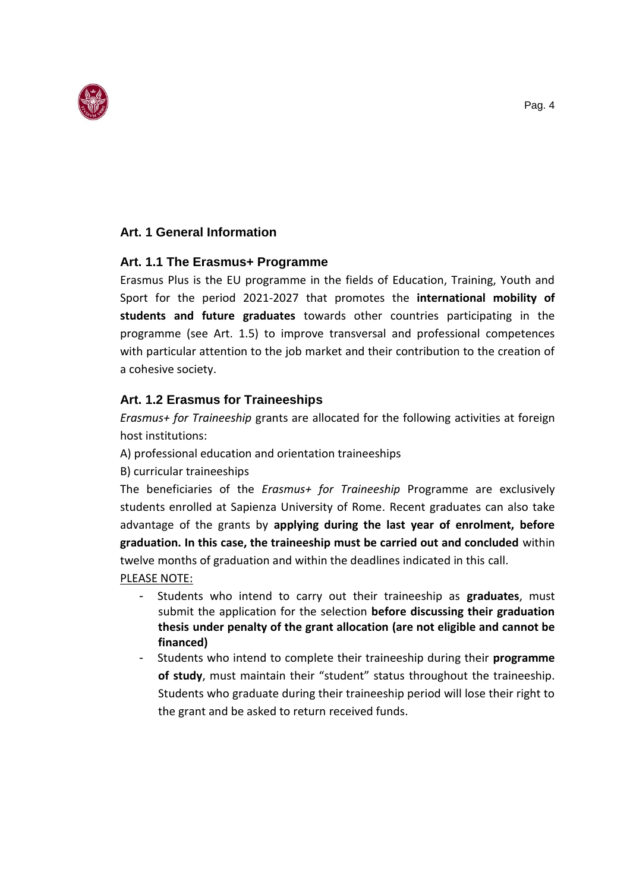

## <span id="page-3-0"></span>**Art. 1 General Information**

### <span id="page-3-1"></span>**Art. 1.1 The Erasmus+ Programme**

Erasmus Plus is the EU programme in the fields of Education, Training, Youth and Sport for the period 2021-2027 that promotes the **international mobility of students and future graduates** towards other countries participating in the programme (see Art. 1.5) to improve transversal and professional competences with particular attention to the job market and their contribution to the creation of a cohesive society.

### <span id="page-3-2"></span>**Art. 1.2 Erasmus for Traineeships**

*Erasmus+ for Traineeship* grants are allocated for the following activities at foreign host institutions:

A) professional education and orientation traineeships

B) curricular traineeships

The beneficiaries of the *Erasmus+ for Traineeship* Programme are exclusively students enrolled at Sapienza University of Rome. Recent graduates can also take advantage of the grants by **applying during the last year of enrolment, before graduation. In this case, the traineeship must be carried out and concluded** within twelve months of graduation and within the deadlines indicated in this call.

### PLEASE NOTE:

- Students who intend to carry out their traineeship as **graduates**, must submit the application for the selection **before discussing their graduation thesis under penalty of the grant allocation (are not eligible and cannot be financed)**
- <span id="page-3-3"></span>- Students who intend to complete their traineeship during their **programme of study**, must maintain their "student" status throughout the traineeship. Students who graduate during their traineeship period will lose their right to the grant and be asked to return received funds.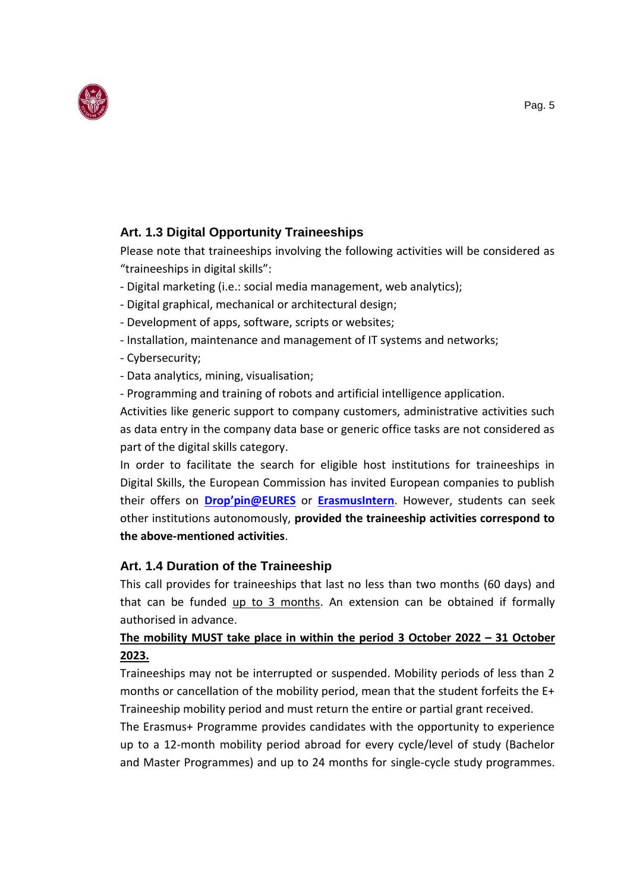

# **Art. 1.3 Digital Opportunity Traineeships**

Please note that traineeships involving the following activities will be considered as "traineeships in digital skills":

- Digital marketing (i.e.: social media management, web analytics);
- Digital graphical, mechanical or architectural design;
- Development of apps, software, scripts or websites;
- Installation, maintenance and management of IT systems and networks;
- Cybersecurity;
- Data analytics, mining, visualisation;
- Programming and training of robots and artificial intelligence application.

Activities like generic support to company customers, administrative activities such as data entry in the company data base or generic office tasks are not considered as part of the digital skills category.

In order to facilitate the search for eligible host institutions for traineeships in Digital Skills, the European Commission has invited European companies to publish their offers on **[Drop'pin@EURES](https://ec.europa.eu/eures/public/it/opportunities)** or **[ErasmusIntern](https://erasmusintern.org/)**. However, students can seek other institutions autonomously, **provided the traineeship activities correspond to the above-mentioned activities**.

# <span id="page-4-0"></span>**Art. 1.4 Duration of the Traineeship**

This call provides for traineeships that last no less than two months (60 days) and that can be funded up to 3 months. An extension can be obtained if formally authorised in advance.

# **The mobility MUST take place in within the period 3 October 2022 – 31 October 2023.**

Traineeships may not be interrupted or suspended. Mobility periods of less than 2 months or cancellation of the mobility period, mean that the student forfeits the E+ Traineeship mobility period and must return the entire or partial grant received.

The Erasmus+ Programme provides candidates with the opportunity to experience up to a 12-month mobility period abroad for every cycle/level of study (Bachelor and Master Programmes) and up to 24 months for single-cycle study programmes.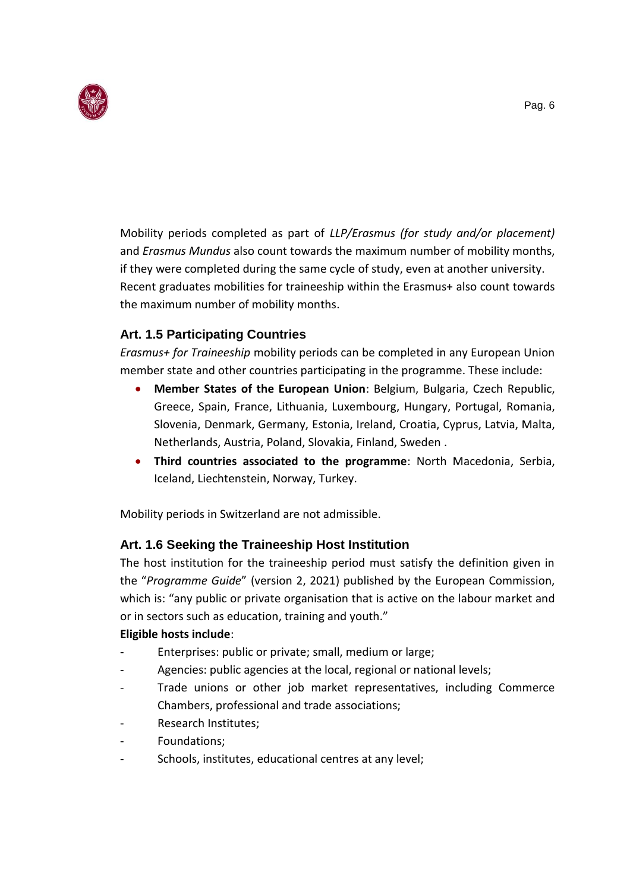

Mobility periods completed as part of *LLP/Erasmus (for study and/or placement)*  and *Erasmus Mundus* also count towards the maximum number of mobility months, if they were completed during the same cycle of study, even at another university. Recent graduates mobilities for traineeship within the Erasmus+ also count towards the maximum number of mobility months.

# <span id="page-5-0"></span>**Art. 1.5 Participating Countries**

*Erasmus+ for Traineeship* mobility periods can be completed in any European Union member state and other countries participating in the programme. These include:

- **Member States of the European Union**: Belgium, Bulgaria, Czech Republic, Greece, Spain, France, Lithuania, Luxembourg, Hungary, Portugal, Romania, Slovenia, Denmark, Germany, Estonia, Ireland, Croatia, Cyprus, Latvia, Malta, Netherlands, Austria, Poland, Slovakia, Finland, Sweden .
- **Third countries associated to the programme**: North Macedonia, Serbia, Iceland, Liechtenstein, Norway, Turkey.

Mobility periods in Switzerland are not admissible.

# <span id="page-5-1"></span>**Art. 1.6 Seeking the Traineeship Host Institution**

The host institution for the traineeship period must satisfy the definition given in the "*Programme Guide*" (version 2, 2021) published by the European Commission, which is: "any public or private organisation that is active on the labour market and or in sectors such as education, training and youth."

### **Eligible hosts include**:

- Enterprises: public or private; small, medium or large;
- Agencies: public agencies at the local, regional or national levels;
- Trade unions or other job market representatives, including Commerce Chambers, professional and trade associations;
- Research Institutes;
- Foundations;
- Schools, institutes, educational centres at any level;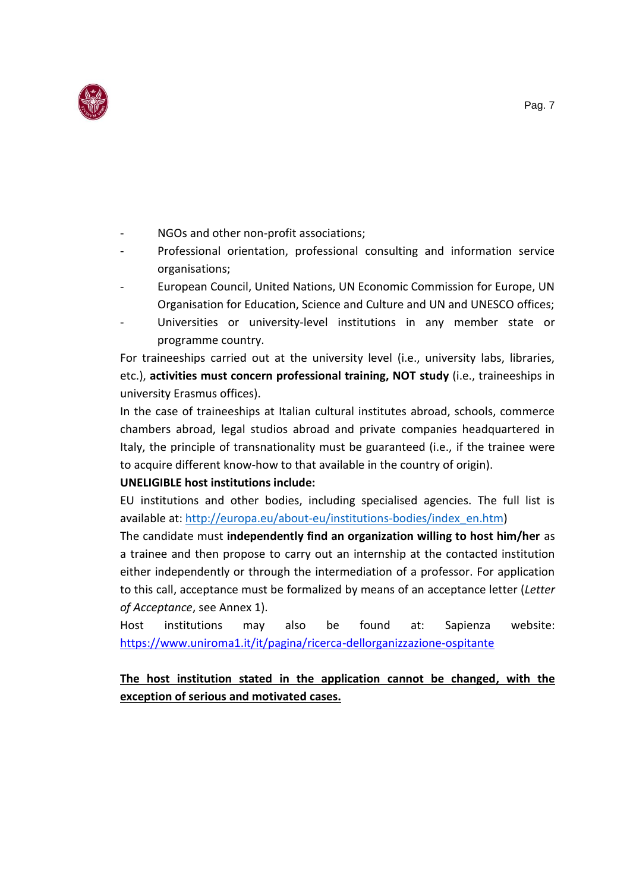

- NGOs and other non-profit associations;
- Professional orientation, professional consulting and information service organisations;
- European Council, United Nations, UN Economic Commission for Europe, UN Organisation for Education, Science and Culture and UN and UNESCO offices;
- Universities or university-level institutions in any member state or programme country.

For traineeships carried out at the university level (i.e., university labs, libraries, etc.), **activities must concern professional training, NOT study** (i.e., traineeships in university Erasmus offices).

In the case of traineeships at Italian cultural institutes abroad, schools, commerce chambers abroad, legal studios abroad and private companies headquartered in Italy, the principle of transnationality must be guaranteed (i.e., if the trainee were to acquire different know-how to that available in the country of origin).

### **UNELIGIBLE host institutions include:**

EU institutions and other bodies, including specialised agencies. The full list is available at: [http://europa.eu/about-eu/institutions-bodies/index\\_en.htm\)](http://europa.eu/about-eu/institutions-bodies/index_en.htm)

The candidate must **independently find an organization willing to host him/her** as a trainee and then propose to carry out an internship at the contacted institution either independently or through the intermediation of a professor. For application to this call, acceptance must be formalized by means of an acceptance letter (*Letter of Acceptance*, see Annex 1).

Host institutions may also be found at: Sapienza website: <https://www.uniroma1.it/it/pagina/ricerca-dellorganizzazione-ospitante>

# <span id="page-6-0"></span>**The host institution stated in the application cannot be changed, with the exception of serious and motivated cases.**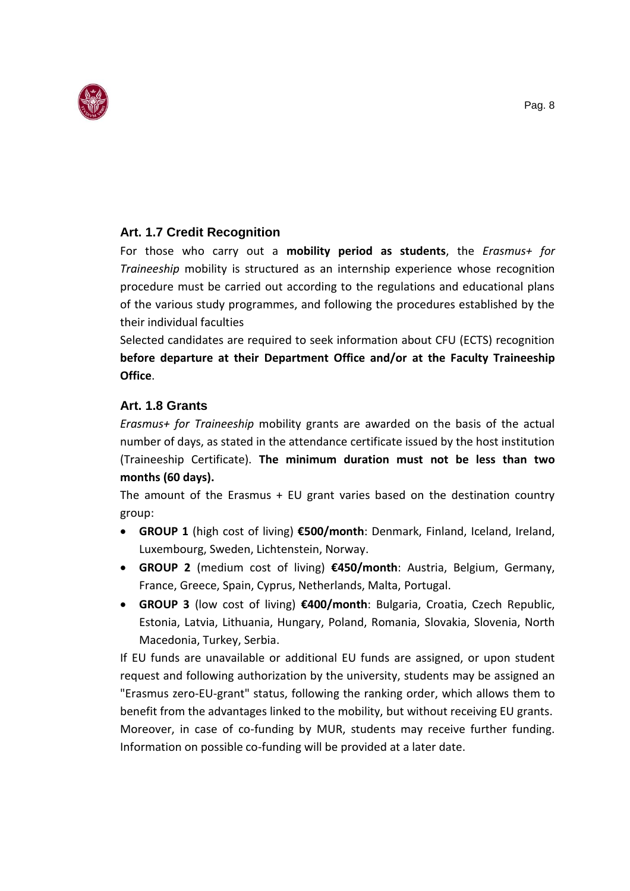

### **Art. 1.7 Credit Recognition**

For those who carry out a **mobility period as students**, the *Erasmus+ for Traineeship* mobility is structured as an internship experience whose recognition procedure must be carried out according to the regulations and educational plans of the various study programmes, and following the procedures established by the their individual faculties

Selected candidates are required to seek information about CFU (ECTS) recognition **before departure at their Department Office and/or at the Faculty Traineeship Office**.

### <span id="page-7-0"></span>**Art. 1.8 Grants**

*Erasmus+ for Traineeship* mobility grants are awarded on the basis of the actual number of days, as stated in the attendance certificate issued by the host institution (Traineeship Certificate). **The minimum duration must not be less than two months (60 days).**

The amount of the Erasmus + EU grant varies based on the destination country group:

- **GROUP 1** (high cost of living) **€500/month**: Denmark, Finland, Iceland, Ireland, Luxembourg, Sweden, Lichtenstein, Norway.
- **GROUP 2** (medium cost of living) **€450/month**: Austria, Belgium, Germany, France, Greece, Spain, Cyprus, Netherlands, Malta, Portugal.
- **GROUP 3** (low cost of living) **€400/month**: Bulgaria, Croatia, Czech Republic, Estonia, Latvia, Lithuania, Hungary, Poland, Romania, Slovakia, Slovenia, North Macedonia, Turkey, Serbia.

If EU funds are unavailable or additional EU funds are assigned, or upon student request and following authorization by the university, students may be assigned an "Erasmus zero-EU-grant" status, following the ranking order, which allows them to benefit from the advantages linked to the mobility, but without receiving EU grants. Moreover, in case of co-funding by MUR, students may receive further funding. Information on possible co-funding will be provided at a later date.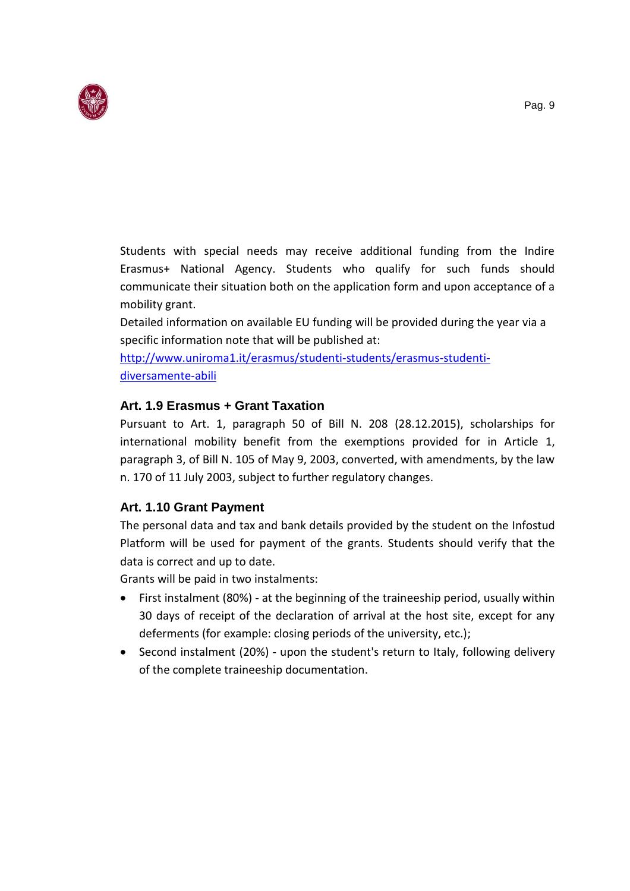

Students with special needs may receive additional funding from the Indire Erasmus+ National Agency. Students who qualify for such funds should communicate their situation both on the application form and upon acceptance of a mobility grant.

Detailed information on available EU funding will be provided during the year via a specific information note that will be published at:

[http://www.uniroma1.it/erasmus/studenti-students/erasmus-studenti](http://www.uniroma1.it/erasmus/studenti-students/erasmus-studenti-diversamente-abili)[diversamente-abili](http://www.uniroma1.it/erasmus/studenti-students/erasmus-studenti-diversamente-abili)

## <span id="page-8-0"></span>**Art. 1.9 Erasmus + Grant Taxation**

Pursuant to Art. 1, paragraph 50 of Bill N. 208 (28.12.2015), scholarships for international mobility benefit from the exemptions provided for in Article 1, paragraph 3, of Bill N. 105 of May 9, 2003, converted, with amendments, by the law n. 170 of 11 July 2003, subject to further regulatory changes.

# <span id="page-8-1"></span>**Art. 1.10 Grant Payment**

The personal data and tax and bank details provided by the student on the Infostud Platform will be used for payment of the grants. Students should verify that the data is correct and up to date.

Grants will be paid in two instalments:

- First instalment (80%) at the beginning of the traineeship period, usually within 30 days of receipt of the declaration of arrival at the host site, except for any deferments (for example: closing periods of the university, etc.);
- <span id="page-8-2"></span>• Second instalment (20%) - upon the student's return to Italy, following delivery of the complete traineeship documentation.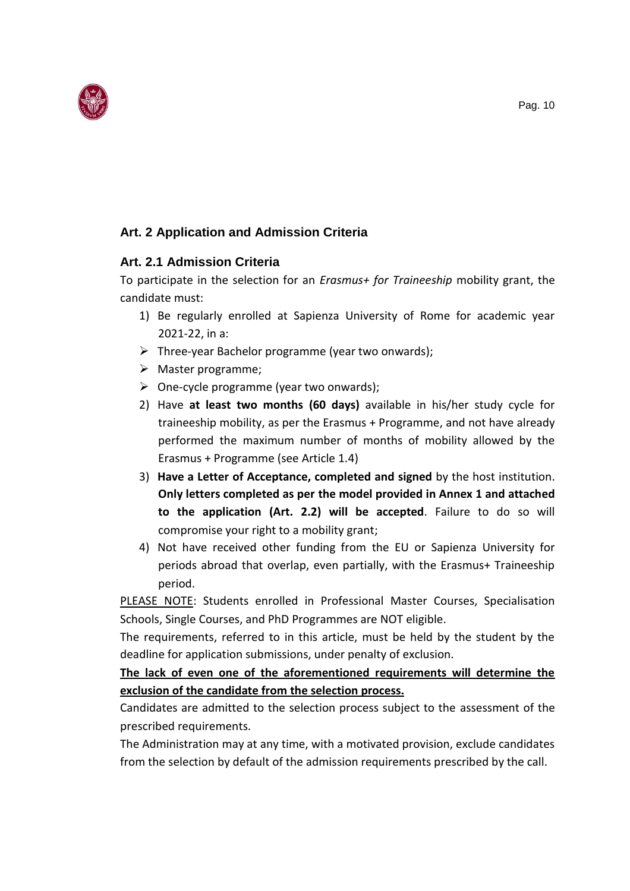

# **Art. 2 Application and Admission Criteria**

## <span id="page-9-0"></span>**Art. 2.1 Admission Criteria**

To participate in the selection for an *Erasmus+ for Traineeship* mobility grant, the candidate must:

- 1) Be regularly enrolled at Sapienza University of Rome for academic year 2021-22, in a:
- $\triangleright$  Three-year Bachelor programme (year two onwards);
- ➢ Master programme;
- $\triangleright$  One-cycle programme (year two onwards);
- 2) Have **at least two months (60 days)** available in his/her study cycle for traineeship mobility, as per the Erasmus + Programme, and not have already performed the maximum number of months of mobility allowed by the Erasmus + Programme (see Article 1.4)
- 3) **Have a Letter of Acceptance, completed and signed** by the host institution. **Only letters completed as per the model provided in Annex 1 and attached to the application (Art. 2.2) will be accepted**. Failure to do so will compromise your right to a mobility grant;
- 4) Not have received other funding from the EU or Sapienza University for periods abroad that overlap, even partially, with the Erasmus+ Traineeship period.

PLEASE NOTE: Students enrolled in Professional Master Courses, Specialisation Schools, Single Courses, and PhD Programmes are NOT eligible.

The requirements, referred to in this article, must be held by the student by the deadline for application submissions, under penalty of exclusion.

**The lack of even one of the aforementioned requirements will determine the exclusion of the candidate from the selection process.**

Candidates are admitted to the selection process subject to the assessment of the prescribed requirements.

The Administration may at any time, with a motivated provision, exclude candidates from the selection by default of the admission requirements prescribed by the call.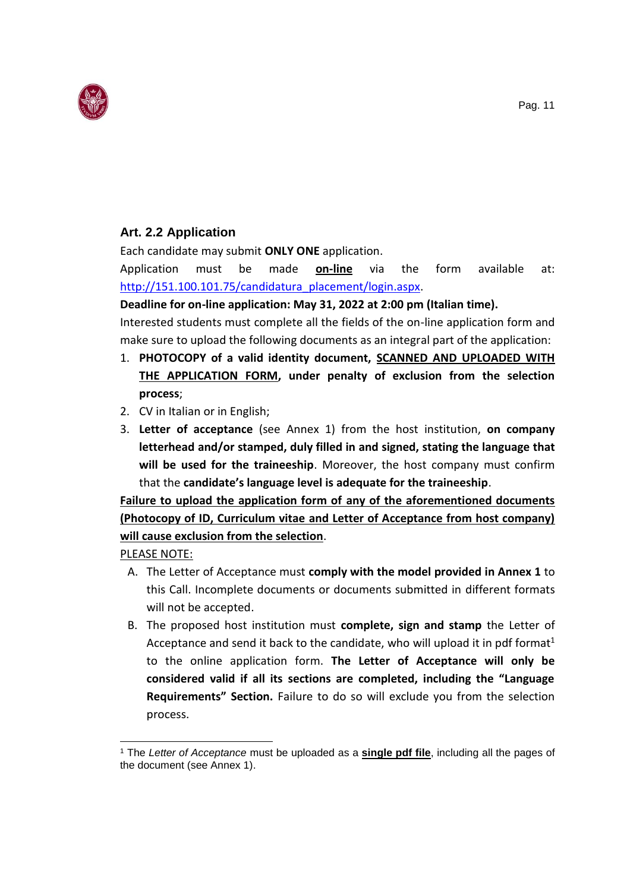

# <span id="page-10-0"></span>**Art. 2.2 Application**

Each candidate may submit **ONLY ONE** application.

Application must be made **on-line** via the form available at: [http://151.100.101.75/candidatura\\_placement/login.aspx.](http://151.100.101.75/candidatura_placement/login.aspx)

### **Deadline for on-line application: May 31, 2022 at 2:00 pm (Italian time).**

Interested students must complete all the fields of the on-line application form and make sure to upload the following documents as an integral part of the application:

- 1. **PHOTOCOPY of a valid identity document, SCANNED AND UPLOADED WITH THE APPLICATION FORM, under penalty of exclusion from the selection process**;
- 2. CV in Italian or in English;
- 3. **Letter of acceptance** (see Annex 1) from the host institution, **on company letterhead and/or stamped, duly filled in and signed, stating the language that will be used for the traineeship**. Moreover, the host company must confirm that the **candidate's language level is adequate for the traineeship**.

# **Failure to upload the application form of any of the aforementioned documents (Photocopy of ID, Curriculum vitae and Letter of Acceptance from host company) will cause exclusion from the selection**.

PLEASE NOTE:

 $\overline{a}$ 

- A. The Letter of Acceptance must **comply with the model provided in Annex 1** to this Call. Incomplete documents or documents submitted in different formats will not be accepted.
- B. The proposed host institution must **complete, sign and stamp** the Letter of Acceptance and send it back to the candidate, who will upload it in pdf format<sup>1</sup> to the online application form. **The Letter of Acceptance will only be considered valid if all its sections are completed, including the "Language Requirements" Section.** Failure to do so will exclude you from the selection process.

<sup>1</sup> The *Letter of Acceptance* must be uploaded as a **single pdf file**, including all the pages of the document (see Annex 1).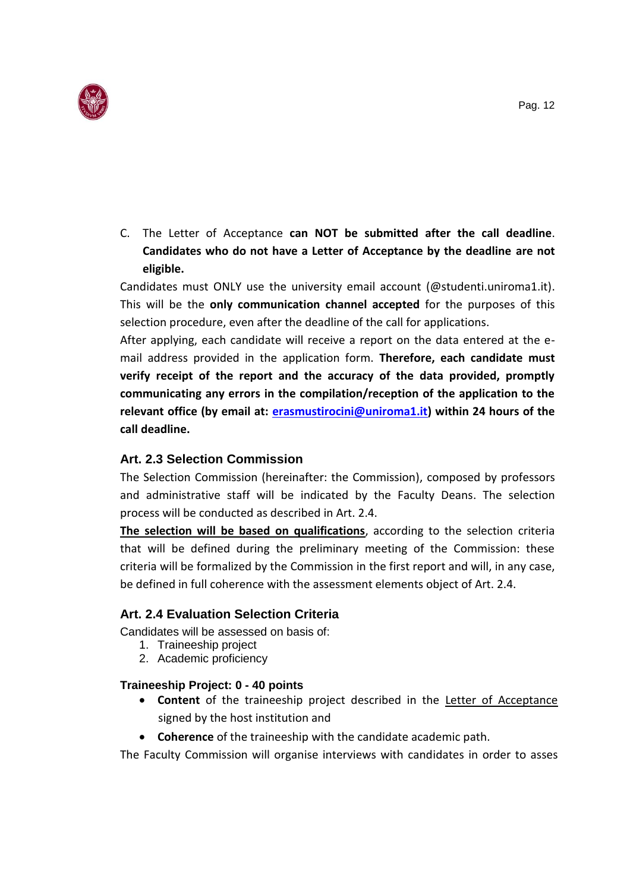

C. The Letter of Acceptance **can NOT be submitted after the call deadline**. **Candidates who do not have a Letter of Acceptance by the deadline are not eligible.** 

Candidates must ONLY use the university email account (@studenti.uniroma1.it). This will be the **only communication channel accepted** for the purposes of this selection procedure, even after the deadline of the call for applications.

After applying, each candidate will receive a report on the data entered at the email address provided in the application form. **Therefore, each candidate must verify receipt of the report and the accuracy of the data provided, promptly communicating any errors in the compilation/reception of the application to the relevant office (by email at: [erasmustirocini@uniroma1.it\)](mailto:erasmustirocini@uniroma1.it) within 24 hours of the call deadline.**

### <span id="page-11-0"></span>**Art. 2.3 Selection Commission**

The Selection Commission (hereinafter: the Commission), composed by professors and administrative staff will be indicated by the Faculty Deans. The selection process will be conducted as described in Art. 2.4.

**The selection will be based on qualifications**, according to the selection criteria that will be defined during the preliminary meeting of the Commission: these criteria will be formalized by the Commission in the first report and will, in any case, be defined in full coherence with the assessment elements object of Art. 2.4.

### **Art. 2.4 Evaluation Selection Criteria**

Candidates will be assessed on basis of:

- <span id="page-11-1"></span>1. Traineeship project
- 2. Academic proficiency

### **Traineeship Project: 0 - 40 points**

- **Content** of the traineeship project described in the Letter of Acceptance signed by the host institution and
- **Coherence** of the traineeship with the candidate academic path.

The Faculty Commission will organise interviews with candidates in order to asses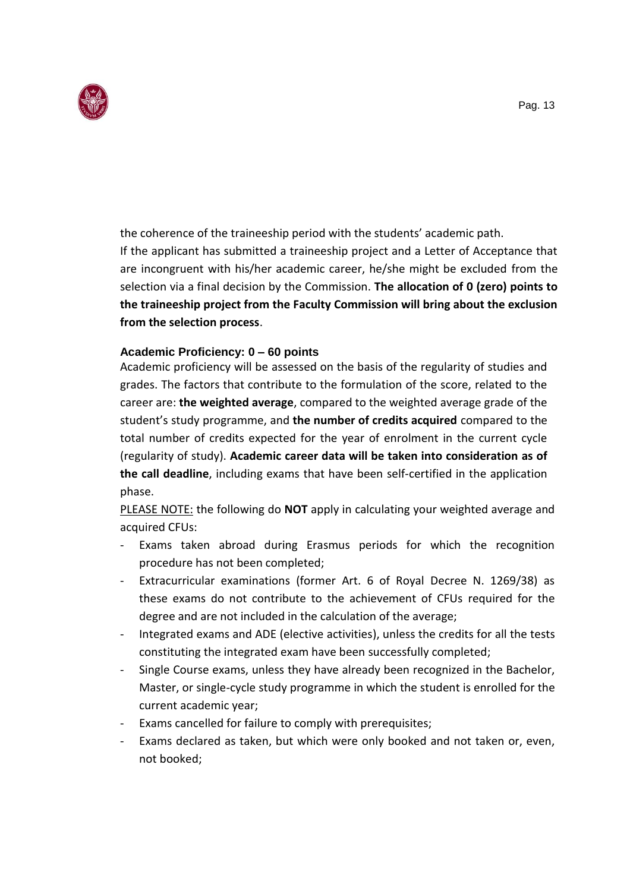

the coherence of the traineeship period with the students' academic path.

If the applicant has submitted a traineeship project and a Letter of Acceptance that are incongruent with his/her academic career, he/she might be excluded from the selection via a final decision by the Commission. **The allocation of 0 (zero) points to the traineeship project from the Faculty Commission will bring about the exclusion from the selection process**.

### **Academic Proficiency: 0 – 60 points**

Academic proficiency will be assessed on the basis of the regularity of studies and grades. The factors that contribute to the formulation of the score, related to the career are: **the weighted average**, compared to the weighted average grade of the student's study programme, and **the number of credits acquired** compared to the total number of credits expected for the year of enrolment in the current cycle (regularity of study). **Academic career data will be taken into consideration as of the call deadline**, including exams that have been self-certified in the application phase.

PLEASE NOTE: the following do **NOT** apply in calculating your weighted average and acquired CFUs:

- Exams taken abroad during Erasmus periods for which the recognition procedure has not been completed;
- Extracurricular examinations (former Art. 6 of Royal Decree N. 1269/38) as these exams do not contribute to the achievement of CFUs required for the degree and are not included in the calculation of the average;
- Integrated exams and ADE (elective activities), unless the credits for all the tests constituting the integrated exam have been successfully completed;
- Single Course exams, unless they have already been recognized in the Bachelor, Master, or single-cycle study programme in which the student is enrolled for the current academic year;
- Exams cancelled for failure to comply with prerequisites;
- Exams declared as taken, but which were only booked and not taken or, even, not booked;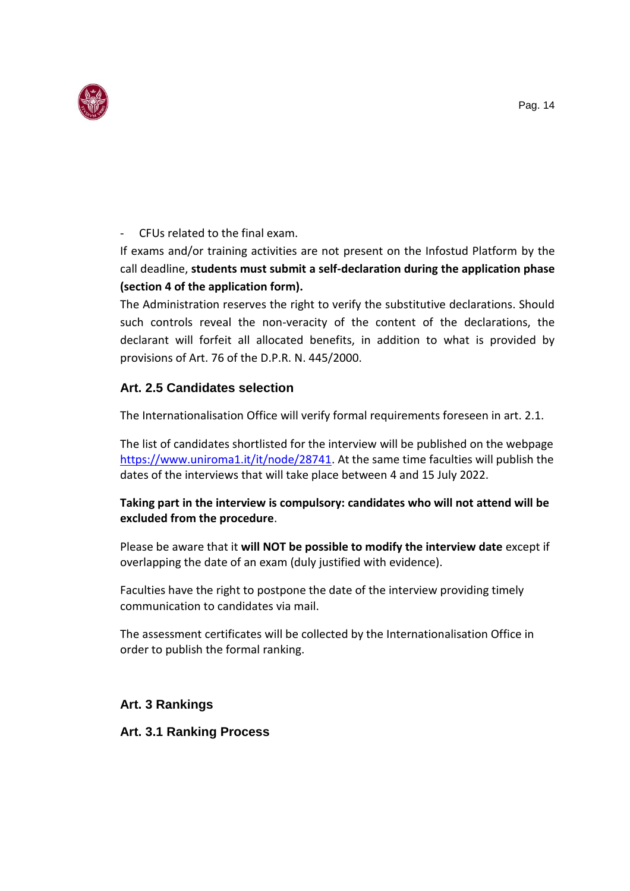

### - CFUs related to the final exam.

If exams and/or training activities are not present on the Infostud Platform by the call deadline, **students must submit a self-declaration during the application phase (section 4 of the application form).**

The Administration reserves the right to verify the substitutive declarations. Should such controls reveal the non-veracity of the content of the declarations, the declarant will forfeit all allocated benefits, in addition to what is provided by provisions of Art. 76 of the D.P.R. N. 445/2000.

# <span id="page-13-0"></span>**Art. 2.5 Candidates selection**

The Internationalisation Office will verify formal requirements foreseen in art. 2.1.

The list of candidates shortlisted for the interview will be published on the webpage [https://www.uniroma1.it/it/node/28741.](https://www.uniroma1.it/it/node/28741) At the same time faculties will publish the dates of the interviews that will take place between 4 and 15 July 2022.

### **Taking part in the interview is compulsory: candidates who will not attend will be excluded from the procedure**.

Please be aware that it **will NOT be possible to modify the interview date** except if overlapping the date of an exam (duly justified with evidence).

Faculties have the right to postpone the date of the interview providing timely communication to candidates via mail.

The assessment certificates will be collected by the Internationalisation Office in order to publish the formal ranking.

### **Art. 3 Rankings**

<span id="page-13-1"></span>**Art. 3.1 Ranking Process**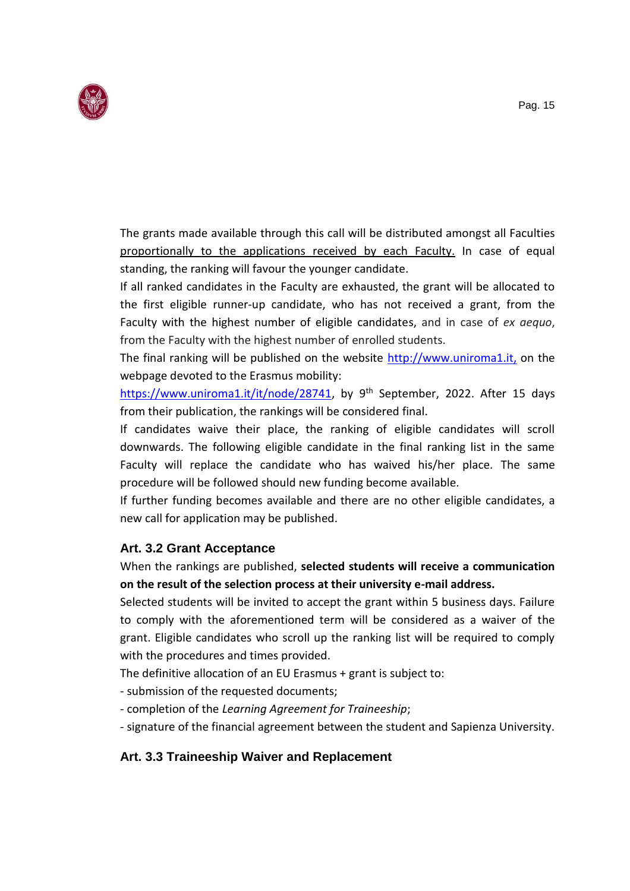

The grants made available through this call will be distributed amongst all Faculties proportionally to the applications received by each Faculty. In case of equal standing, the ranking will favour the younger candidate.

If all ranked candidates in the Faculty are exhausted, the grant will be allocated to the first eligible runner-up candidate, who has not received a grant, from the Faculty with the highest number of eligible candidates, and in case of *ex aequo*, from the Faculty with the highest number of enrolled students.

The final ranking will be published on the website [http://www.uniroma1.it,](http://www.uniroma1.it/) on the webpage devoted to the Erasmus mobility:

[https://www.uniroma1.it/it/node/28741,](https://www.uniroma1.it/it/node/28741) by 9<sup>th</sup> September, 2022. After 15 days from their publication, the rankings will be considered final.

If candidates waive their place, the ranking of eligible candidates will scroll downwards. The following eligible candidate in the final ranking list in the same Faculty will replace the candidate who has waived his/her place. The same procedure will be followed should new funding become available.

If further funding becomes available and there are no other eligible candidates, a new call for application may be published.

# <span id="page-14-0"></span>**Art. 3.2 Grant Acceptance**

When the rankings are published, **selected students will receive a communication on the result of the selection process at their university e-mail address.**

Selected students will be invited to accept the grant within 5 business days. Failure to comply with the aforementioned term will be considered as a waiver of the grant. Eligible candidates who scroll up the ranking list will be required to comply with the procedures and times provided.

The definitive allocation of an EU Erasmus + grant is subject to:

- submission of the requested documents;
- completion of the *Learning Agreement for Traineeship*;
- signature of the financial agreement between the student and Sapienza University.

### <span id="page-14-1"></span>**Art. 3.3 Traineeship Waiver and Replacement**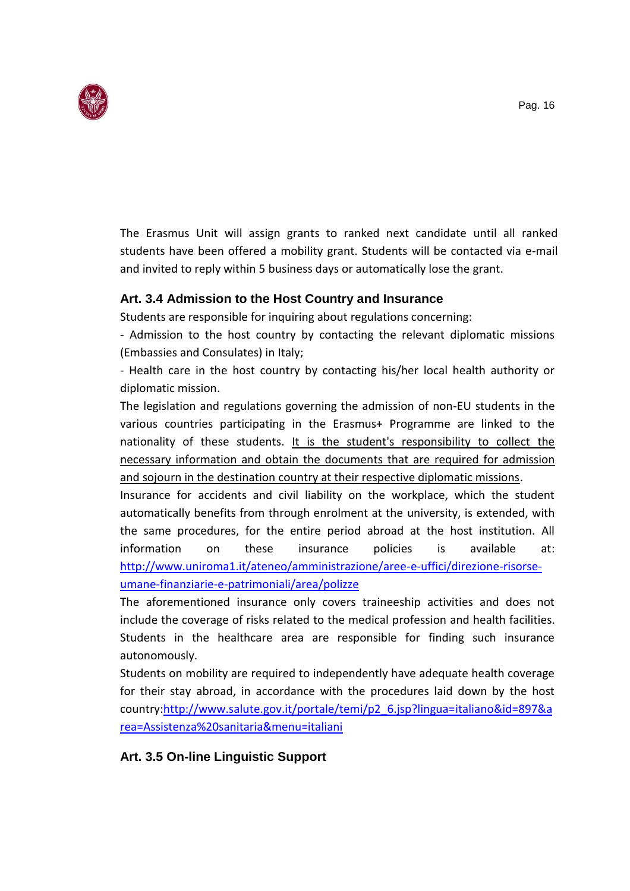

The Erasmus Unit will assign grants to ranked next candidate until all ranked students have been offered a mobility grant. Students will be contacted via e-mail and invited to reply within 5 business days or automatically lose the grant.

## <span id="page-15-0"></span>**Art. 3.4 Admission to the Host Country and Insurance**

Students are responsible for inquiring about regulations concerning:

- Admission to the host country by contacting the relevant diplomatic missions (Embassies and Consulates) in Italy;

- Health care in the host country by contacting his/her local health authority or diplomatic mission.

The legislation and regulations governing the admission of non-EU students in the various countries participating in the Erasmus+ Programme are linked to the nationality of these students. It is the student's responsibility to collect the necessary information and obtain the documents that are required for admission and sojourn in the destination country at their respective diplomatic missions.

Insurance for accidents and civil liability on the workplace, which the student automatically benefits from through enrolment at the university, is extended, with the same procedures, for the entire period abroad at the host institution. All information on these insurance policies is available at: [http://www.uniroma1.it/ateneo/amministrazione/aree-e-uffici/direzione-risorse](http://www.uniroma1.it/ateneo/amministrazione/aree-e-uffici/direzione-risorse-umane-finanziarie-e-patrimoniali/area/polizze)[umane-finanziarie-e-patrimoniali/area/polizze](http://www.uniroma1.it/ateneo/amministrazione/aree-e-uffici/direzione-risorse-umane-finanziarie-e-patrimoniali/area/polizze)

The aforementioned insurance only covers traineeship activities and does not include the coverage of risks related to the medical profession and health facilities. Students in the healthcare area are responsible for finding such insurance autonomously.

Students on mobility are required to independently have adequate health coverage for their stay abroad, in accordance with the procedures laid down by the host country[:http://www.salute.gov.it/portale/temi/p2\\_6.jsp?lingua=italiano&id=897&a](http://www.salute.gov.it/portale/temi/p2_6.jsp?lingua=italiano&id=897&area=Assistenza%20sanitaria&menu=italiani) [rea=Assistenza%20sanitaria&menu=italiani](http://www.salute.gov.it/portale/temi/p2_6.jsp?lingua=italiano&id=897&area=Assistenza%20sanitaria&menu=italiani)

### <span id="page-15-1"></span>**Art. 3.5 On-line Linguistic Support**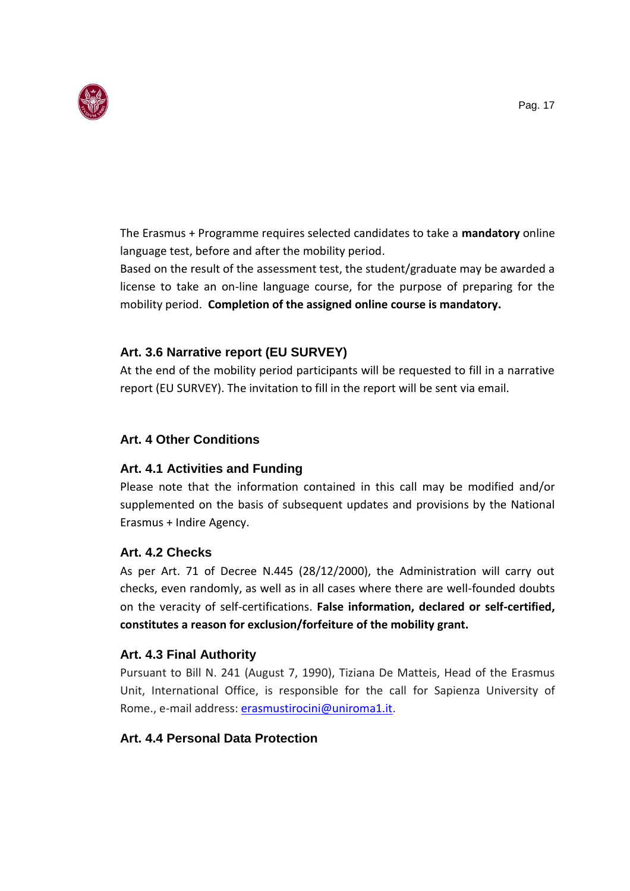

The Erasmus + Programme requires selected candidates to take a **mandatory** online language test, before and after the mobility period.

<span id="page-16-0"></span>Based on the result of the assessment test, the student/graduate may be awarded a license to take an on-line language course, for the purpose of preparing for the mobility period. **Completion of the assigned online course is mandatory.**

# **Art. 3.6 Narrative report (EU SURVEY)**

At the end of the mobility period participants will be requested to fill in a narrative report (EU SURVEY). The invitation to fill in the report will be sent via email.

## <span id="page-16-1"></span>**Art. 4 Other Conditions**

# **Art. 4.1 Activities and Funding**

Please note that the information contained in this call may be modified and/or supplemented on the basis of subsequent updates and provisions by the National Erasmus + Indire Agency.

### <span id="page-16-2"></span>**Art. 4.2 Checks**

As per Art. 71 of Decree N.445 (28/12/2000), the Administration will carry out checks, even randomly, as well as in all cases where there are well-founded doubts on the veracity of self-certifications. **False information, declared or self-certified, constitutes a reason for exclusion/forfeiture of the mobility grant.**

# <span id="page-16-3"></span>**Art. 4.3 Final Authority**

Pursuant to Bill N. 241 (August 7, 1990), Tiziana De Matteis, Head of the Erasmus Unit, International Office, is responsible for the call for Sapienza University of Rome., e-mail address: [erasmustirocini@uniroma1.it.](mailto:erasmustirocini@uniroma1.it)

# <span id="page-16-4"></span>**Art. 4.4 Personal Data Protection**